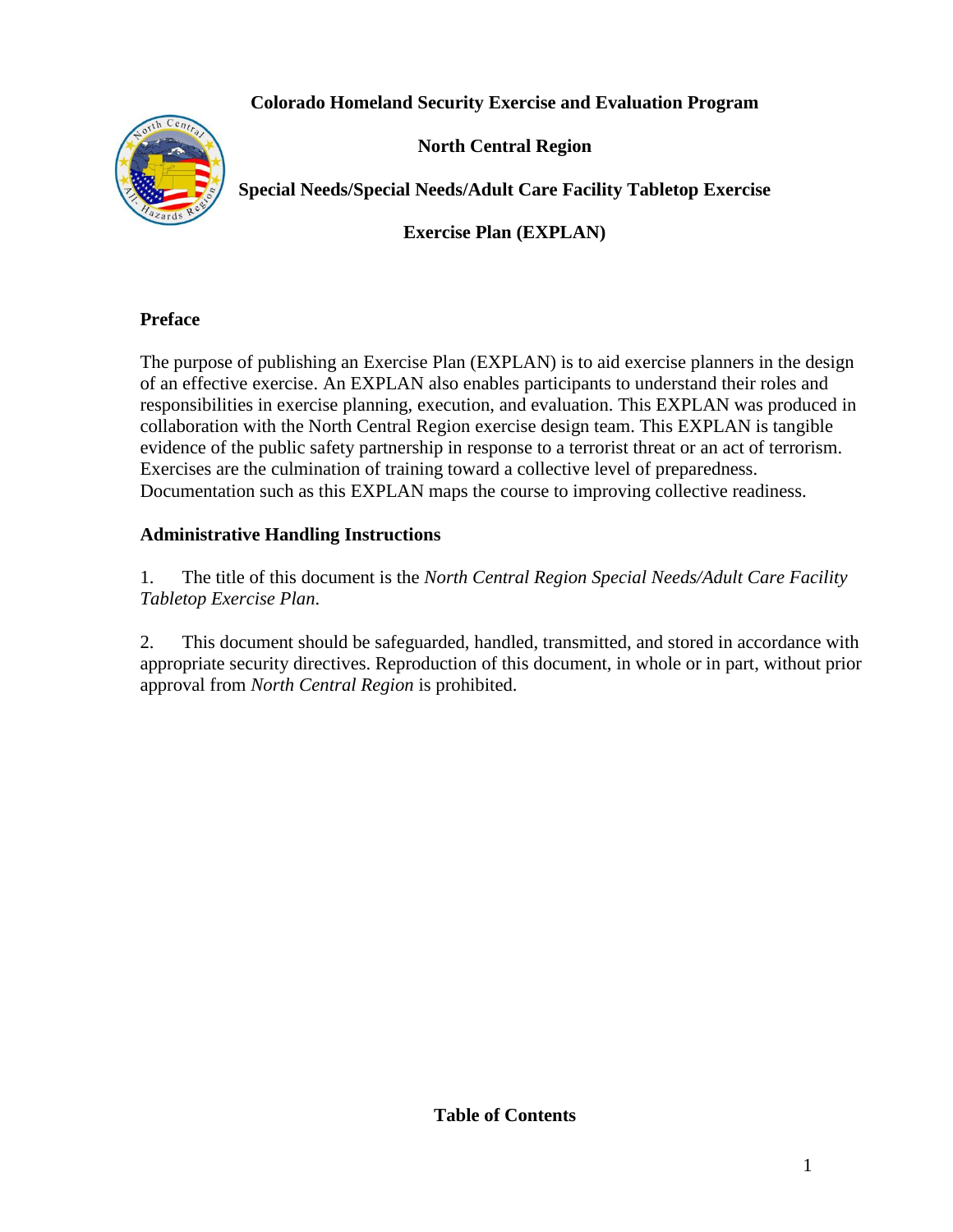# **Colorado Homeland Security Exercise and Evaluation Program**



**North Central Region**

**Special Needs/Special Needs/Adult Care Facility Tabletop Exercise**

**Exercise Plan (EXPLAN)**

## **Preface**

The purpose of publishing an Exercise Plan (EXPLAN) is to aid exercise planners in the design of an effective exercise. An EXPLAN also enables participants to understand their roles and responsibilities in exercise planning, execution, and evaluation. This EXPLAN was produced in collaboration with the North Central Region exercise design team. This EXPLAN is tangible evidence of the public safety partnership in response to a terrorist threat or an act of terrorism. Exercises are the culmination of training toward a collective level of preparedness. Documentation such as this EXPLAN maps the course to improving collective readiness.

## **Administrative Handling Instructions**

1. The title of this document is the *North Central Region Special Needs/Adult Care Facility Tabletop Exercise Plan*.

2. This document should be safeguarded, handled, transmitted, and stored in accordance with appropriate security directives. Reproduction of this document, in whole or in part, without prior approval from *North Central Region* is prohibited.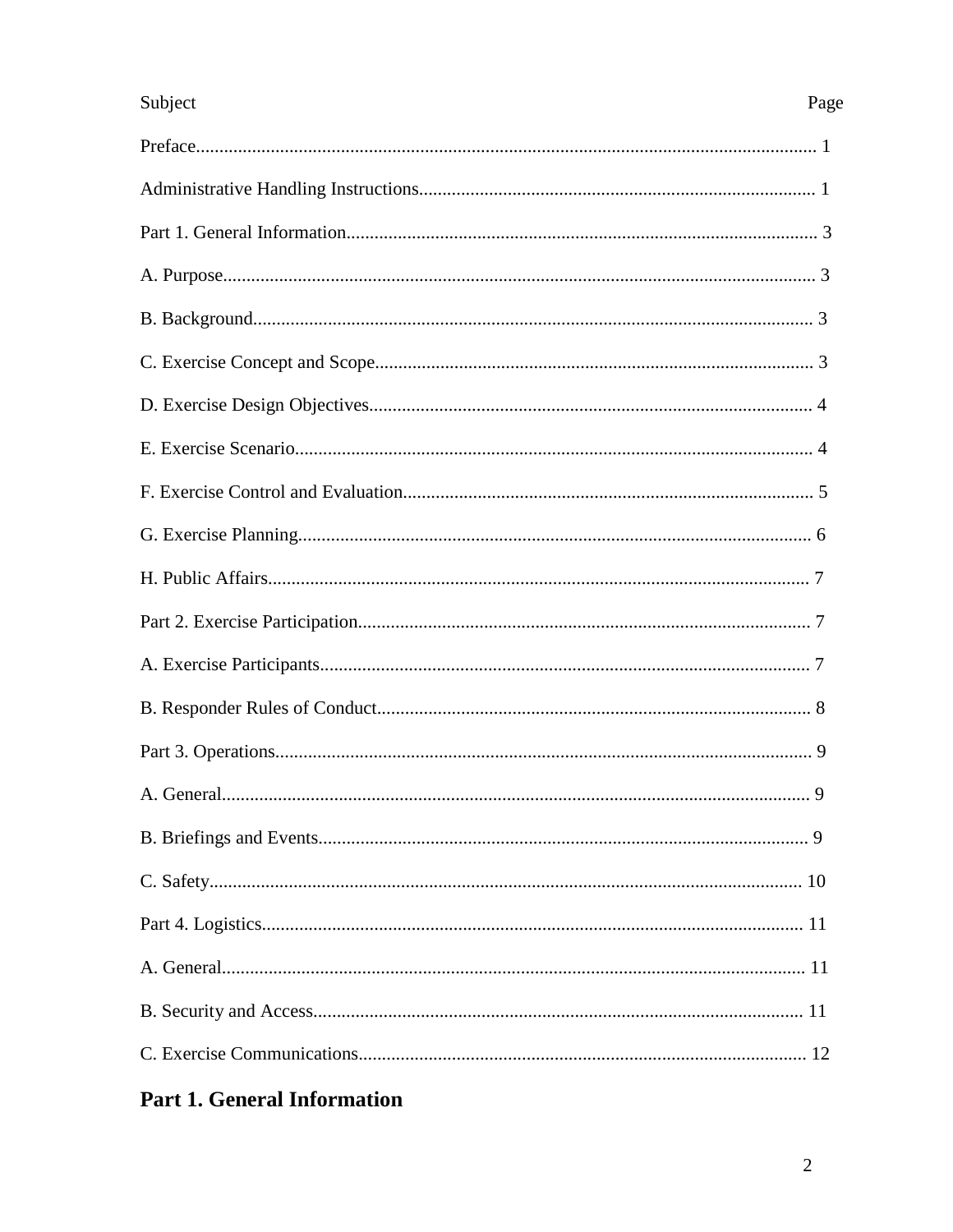# Subject

# Page

# **Part 1. General Information**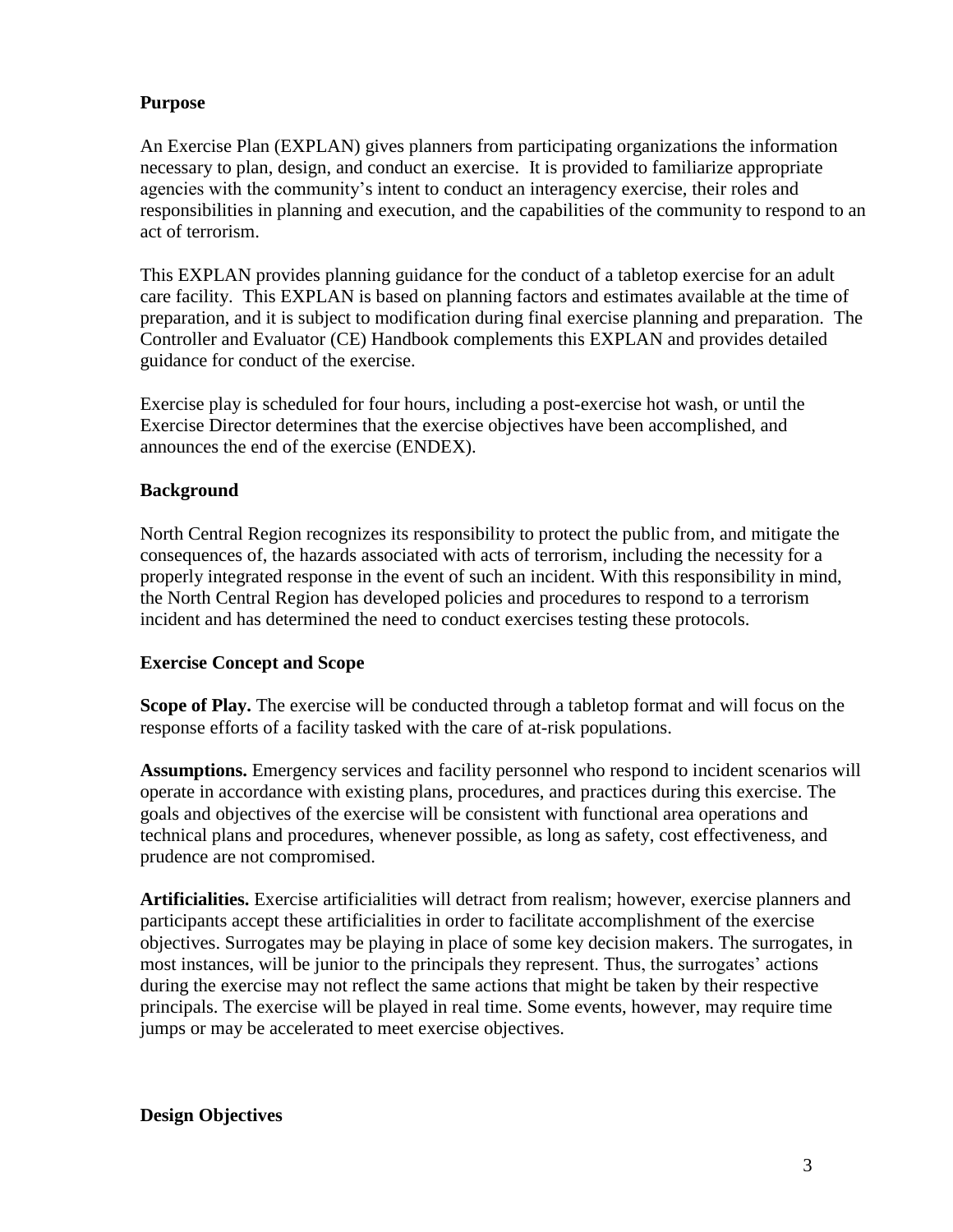### **Purpose**

An Exercise Plan (EXPLAN) gives planners from participating organizations the information necessary to plan, design, and conduct an exercise. It is provided to familiarize appropriate agencies with the community's intent to conduct an interagency exercise, their roles and responsibilities in planning and execution, and the capabilities of the community to respond to an act of terrorism.

This EXPLAN provides planning guidance for the conduct of a tabletop exercise for an adult care facility. This EXPLAN is based on planning factors and estimates available at the time of preparation, and it is subject to modification during final exercise planning and preparation. The Controller and Evaluator (CE) Handbook complements this EXPLAN and provides detailed guidance for conduct of the exercise.

Exercise play is scheduled for four hours, including a post-exercise hot wash, or until the Exercise Director determines that the exercise objectives have been accomplished, and announces the end of the exercise (ENDEX).

### **Background**

North Central Region recognizes its responsibility to protect the public from, and mitigate the consequences of, the hazards associated with acts of terrorism, including the necessity for a properly integrated response in the event of such an incident. With this responsibility in mind, the North Central Region has developed policies and procedures to respond to a terrorism incident and has determined the need to conduct exercises testing these protocols.

#### **Exercise Concept and Scope**

**Scope of Play.** The exercise will be conducted through a tabletop format and will focus on the response efforts of a facility tasked with the care of at-risk populations.

**Assumptions.** Emergency services and facility personnel who respond to incident scenarios will operate in accordance with existing plans, procedures, and practices during this exercise. The goals and objectives of the exercise will be consistent with functional area operations and technical plans and procedures, whenever possible, as long as safety, cost effectiveness, and prudence are not compromised.

**Artificialities.** Exercise artificialities will detract from realism; however, exercise planners and participants accept these artificialities in order to facilitate accomplishment of the exercise objectives. Surrogates may be playing in place of some key decision makers. The surrogates, in most instances, will be junior to the principals they represent. Thus, the surrogates' actions during the exercise may not reflect the same actions that might be taken by their respective principals. The exercise will be played in real time. Some events, however, may require time jumps or may be accelerated to meet exercise objectives.

#### **Design Objectives**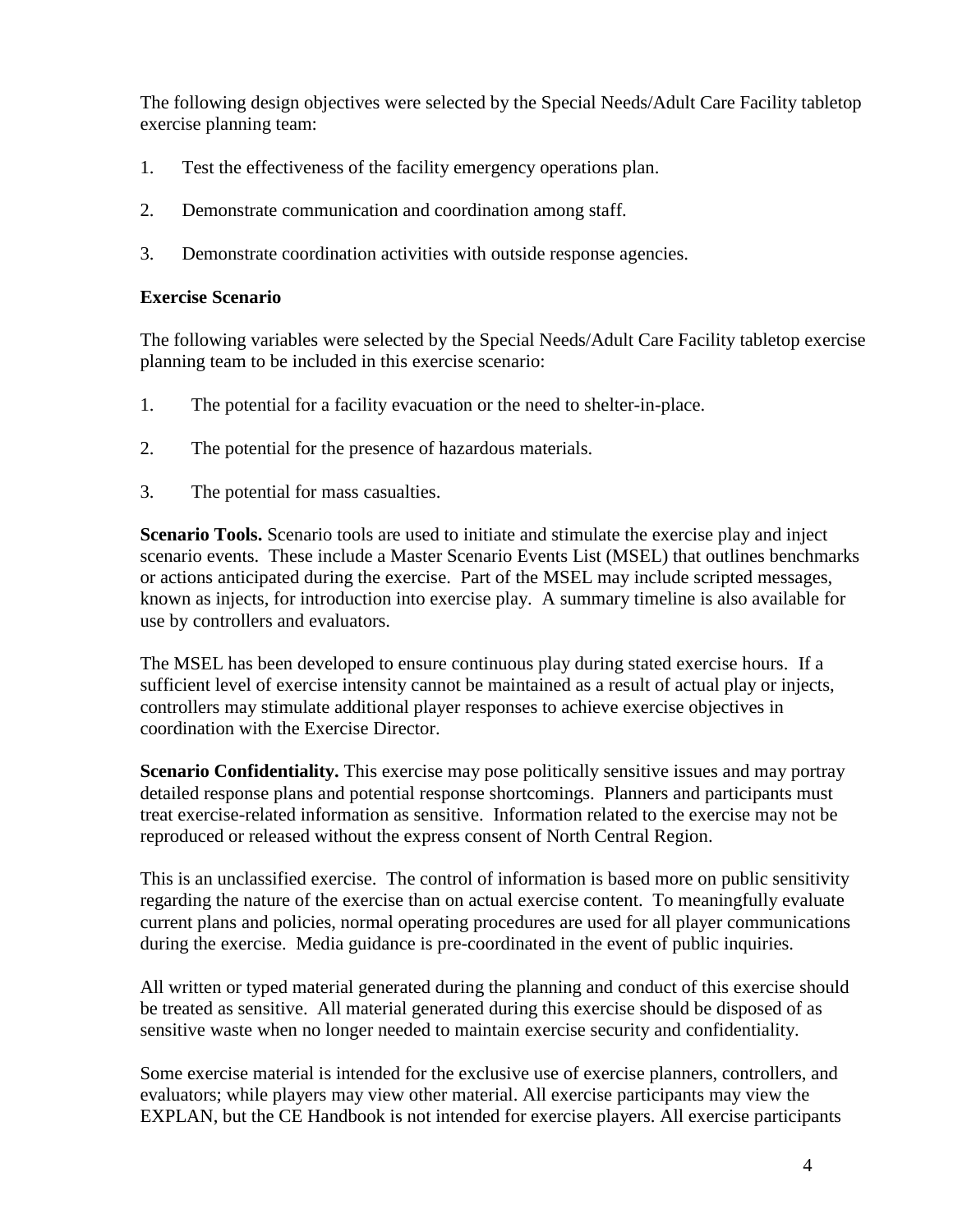The following design objectives were selected by the Special Needs/Adult Care Facility tabletop exercise planning team:

- 1. Test the effectiveness of the facility emergency operations plan.
- 2. Demonstrate communication and coordination among staff.
- 3. Demonstrate coordination activities with outside response agencies.

### **Exercise Scenario**

The following variables were selected by the Special Needs/Adult Care Facility tabletop exercise planning team to be included in this exercise scenario:

- 1. The potential for a facility evacuation or the need to shelter-in-place.
- 2. The potential for the presence of hazardous materials.
- 3. The potential for mass casualties.

**Scenario Tools.** Scenario tools are used to initiate and stimulate the exercise play and inject scenario events. These include a Master Scenario Events List (MSEL) that outlines benchmarks or actions anticipated during the exercise. Part of the MSEL may include scripted messages, known as injects, for introduction into exercise play. A summary timeline is also available for use by controllers and evaluators.

The MSEL has been developed to ensure continuous play during stated exercise hours. If a sufficient level of exercise intensity cannot be maintained as a result of actual play or injects, controllers may stimulate additional player responses to achieve exercise objectives in coordination with the Exercise Director.

**Scenario Confidentiality.** This exercise may pose politically sensitive issues and may portray detailed response plans and potential response shortcomings. Planners and participants must treat exercise-related information as sensitive. Information related to the exercise may not be reproduced or released without the express consent of North Central Region.

This is an unclassified exercise. The control of information is based more on public sensitivity regarding the nature of the exercise than on actual exercise content. To meaningfully evaluate current plans and policies, normal operating procedures are used for all player communications during the exercise. Media guidance is pre-coordinated in the event of public inquiries.

All written or typed material generated during the planning and conduct of this exercise should be treated as sensitive. All material generated during this exercise should be disposed of as sensitive waste when no longer needed to maintain exercise security and confidentiality.

Some exercise material is intended for the exclusive use of exercise planners, controllers, and evaluators; while players may view other material. All exercise participants may view the EXPLAN, but the CE Handbook is not intended for exercise players. All exercise participants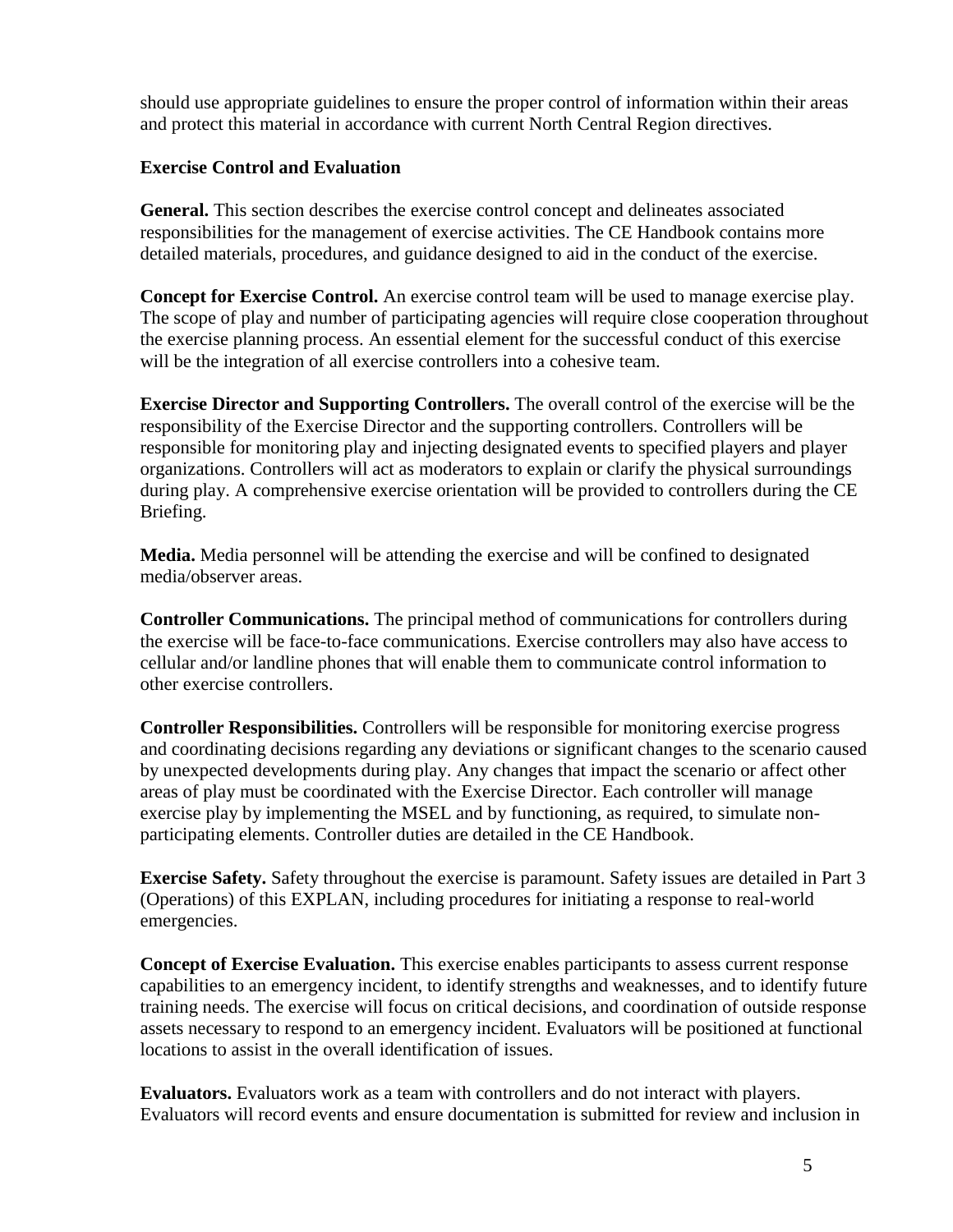should use appropriate guidelines to ensure the proper control of information within their areas and protect this material in accordance with current North Central Region directives.

### **Exercise Control and Evaluation**

**General.** This section describes the exercise control concept and delineates associated responsibilities for the management of exercise activities. The CE Handbook contains more detailed materials, procedures, and guidance designed to aid in the conduct of the exercise.

**Concept for Exercise Control.** An exercise control team will be used to manage exercise play. The scope of play and number of participating agencies will require close cooperation throughout the exercise planning process. An essential element for the successful conduct of this exercise will be the integration of all exercise controllers into a cohesive team.

**Exercise Director and Supporting Controllers.** The overall control of the exercise will be the responsibility of the Exercise Director and the supporting controllers. Controllers will be responsible for monitoring play and injecting designated events to specified players and player organizations. Controllers will act as moderators to explain or clarify the physical surroundings during play. A comprehensive exercise orientation will be provided to controllers during the CE Briefing.

**Media.** Media personnel will be attending the exercise and will be confined to designated media/observer areas.

**Controller Communications.** The principal method of communications for controllers during the exercise will be face-to-face communications. Exercise controllers may also have access to cellular and/or landline phones that will enable them to communicate control information to other exercise controllers.

**Controller Responsibilities.** Controllers will be responsible for monitoring exercise progress and coordinating decisions regarding any deviations or significant changes to the scenario caused by unexpected developments during play. Any changes that impact the scenario or affect other areas of play must be coordinated with the Exercise Director. Each controller will manage exercise play by implementing the MSEL and by functioning, as required, to simulate nonparticipating elements. Controller duties are detailed in the CE Handbook.

**Exercise Safety.** Safety throughout the exercise is paramount. Safety issues are detailed in Part 3 (Operations) of this EXPLAN, including procedures for initiating a response to real-world emergencies.

**Concept of Exercise Evaluation.** This exercise enables participants to assess current response capabilities to an emergency incident, to identify strengths and weaknesses, and to identify future training needs. The exercise will focus on critical decisions, and coordination of outside response assets necessary to respond to an emergency incident. Evaluators will be positioned at functional locations to assist in the overall identification of issues.

**Evaluators.** Evaluators work as a team with controllers and do not interact with players. Evaluators will record events and ensure documentation is submitted for review and inclusion in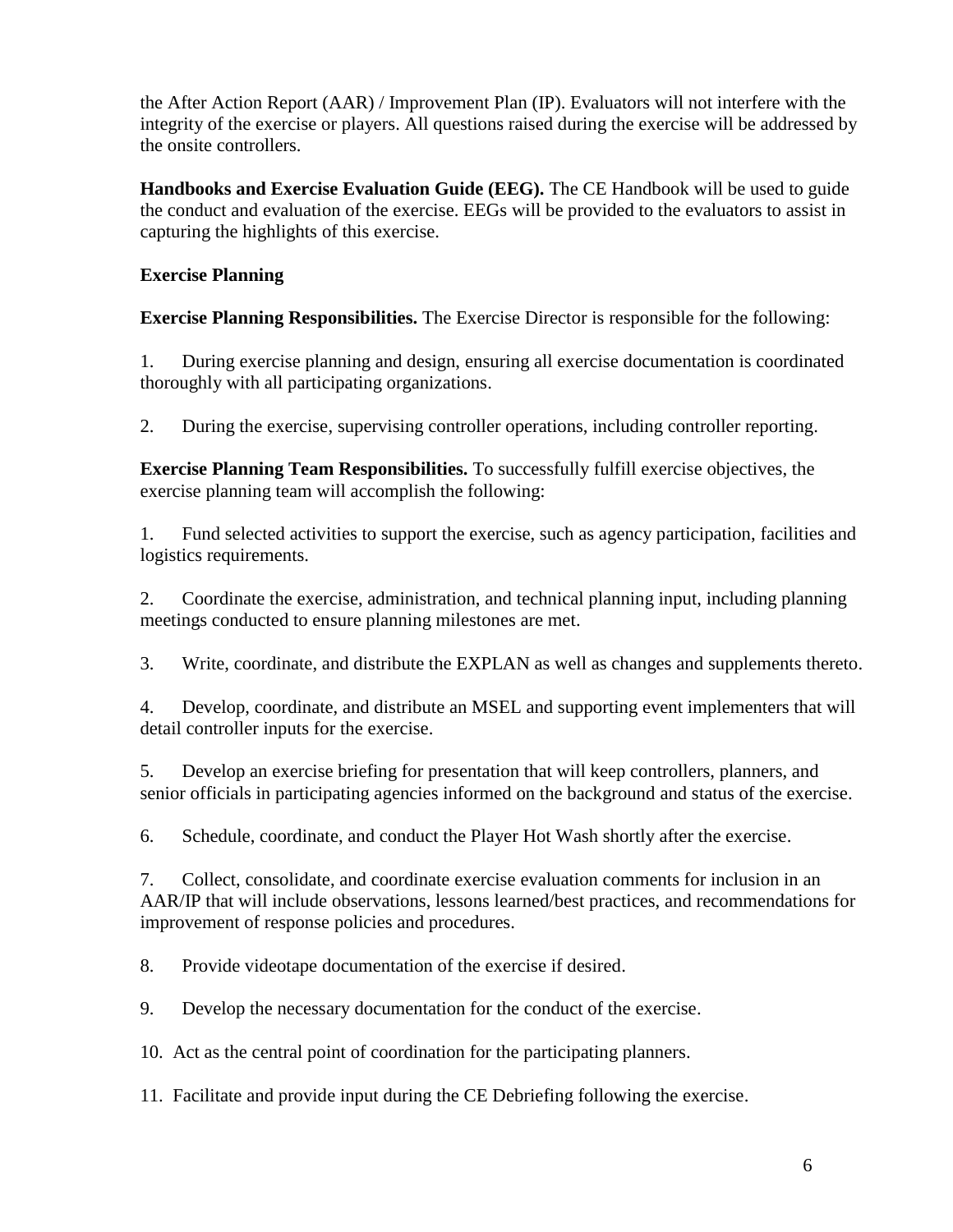the After Action Report (AAR) / Improvement Plan (IP). Evaluators will not interfere with the integrity of the exercise or players. All questions raised during the exercise will be addressed by the onsite controllers.

**Handbooks and Exercise Evaluation Guide (EEG).** The CE Handbook will be used to guide the conduct and evaluation of the exercise. EEGs will be provided to the evaluators to assist in capturing the highlights of this exercise.

# **Exercise Planning**

**Exercise Planning Responsibilities.** The Exercise Director is responsible for the following:

1. During exercise planning and design, ensuring all exercise documentation is coordinated thoroughly with all participating organizations.

2. During the exercise, supervising controller operations, including controller reporting.

**Exercise Planning Team Responsibilities.** To successfully fulfill exercise objectives, the exercise planning team will accomplish the following:

1. Fund selected activities to support the exercise, such as agency participation, facilities and logistics requirements.

2. Coordinate the exercise, administration, and technical planning input, including planning meetings conducted to ensure planning milestones are met.

3. Write, coordinate, and distribute the EXPLAN as well as changes and supplements thereto.

4. Develop, coordinate, and distribute an MSEL and supporting event implementers that will detail controller inputs for the exercise.

5. Develop an exercise briefing for presentation that will keep controllers, planners, and senior officials in participating agencies informed on the background and status of the exercise.

6. Schedule, coordinate, and conduct the Player Hot Wash shortly after the exercise.

7. Collect, consolidate, and coordinate exercise evaluation comments for inclusion in an AAR/IP that will include observations, lessons learned/best practices, and recommendations for improvement of response policies and procedures.

8. Provide videotape documentation of the exercise if desired.

9. Develop the necessary documentation for the conduct of the exercise.

10. Act as the central point of coordination for the participating planners.

11. Facilitate and provide input during the CE Debriefing following the exercise.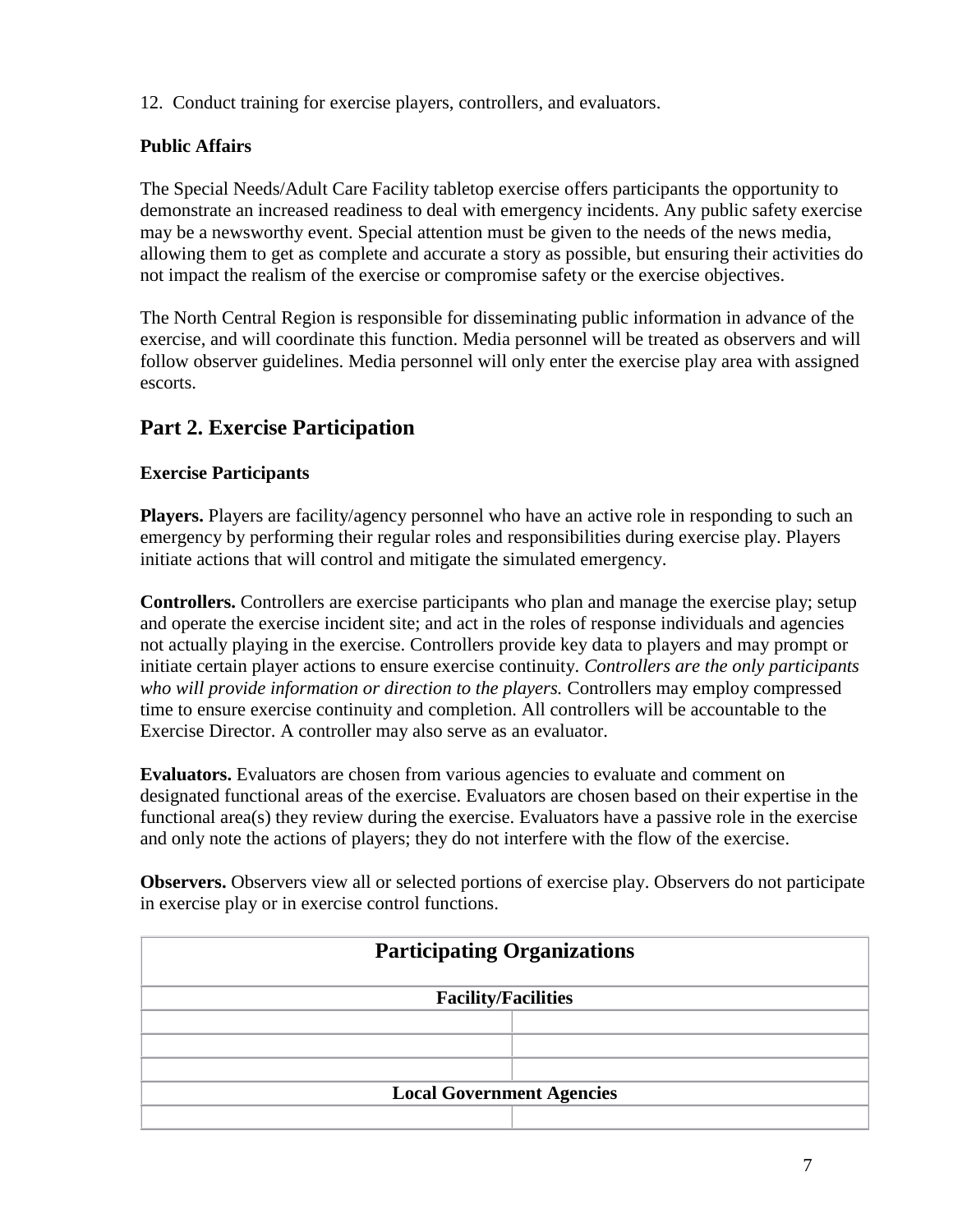12. Conduct training for exercise players, controllers, and evaluators.

# **Public Affairs**

The Special Needs/Adult Care Facility tabletop exercise offers participants the opportunity to demonstrate an increased readiness to deal with emergency incidents. Any public safety exercise may be a newsworthy event. Special attention must be given to the needs of the news media, allowing them to get as complete and accurate a story as possible, but ensuring their activities do not impact the realism of the exercise or compromise safety or the exercise objectives.

The North Central Region is responsible for disseminating public information in advance of the exercise, and will coordinate this function. Media personnel will be treated as observers and will follow observer guidelines. Media personnel will only enter the exercise play area with assigned escorts.

# **Part 2. Exercise Participation**

### **Exercise Participants**

**Players.** Players are facility/agency personnel who have an active role in responding to such an emergency by performing their regular roles and responsibilities during exercise play. Players initiate actions that will control and mitigate the simulated emergency.

**Controllers.** Controllers are exercise participants who plan and manage the exercise play; setup and operate the exercise incident site; and act in the roles of response individuals and agencies not actually playing in the exercise. Controllers provide key data to players and may prompt or initiate certain player actions to ensure exercise continuity. *Controllers are the only participants who will provide information or direction to the players.* Controllers may employ compressed time to ensure exercise continuity and completion. All controllers will be accountable to the Exercise Director. A controller may also serve as an evaluator.

**Evaluators.** Evaluators are chosen from various agencies to evaluate and comment on designated functional areas of the exercise. Evaluators are chosen based on their expertise in the functional area(s) they review during the exercise. Evaluators have a passive role in the exercise and only note the actions of players; they do not interfere with the flow of the exercise.

**Observers.** Observers view all or selected portions of exercise play. Observers do not participate in exercise play or in exercise control functions.

| <b>Participating Organizations</b> |  |  |
|------------------------------------|--|--|
| <b>Facility/Facilities</b>         |  |  |
|                                    |  |  |
|                                    |  |  |
|                                    |  |  |
| <b>Local Government Agencies</b>   |  |  |
|                                    |  |  |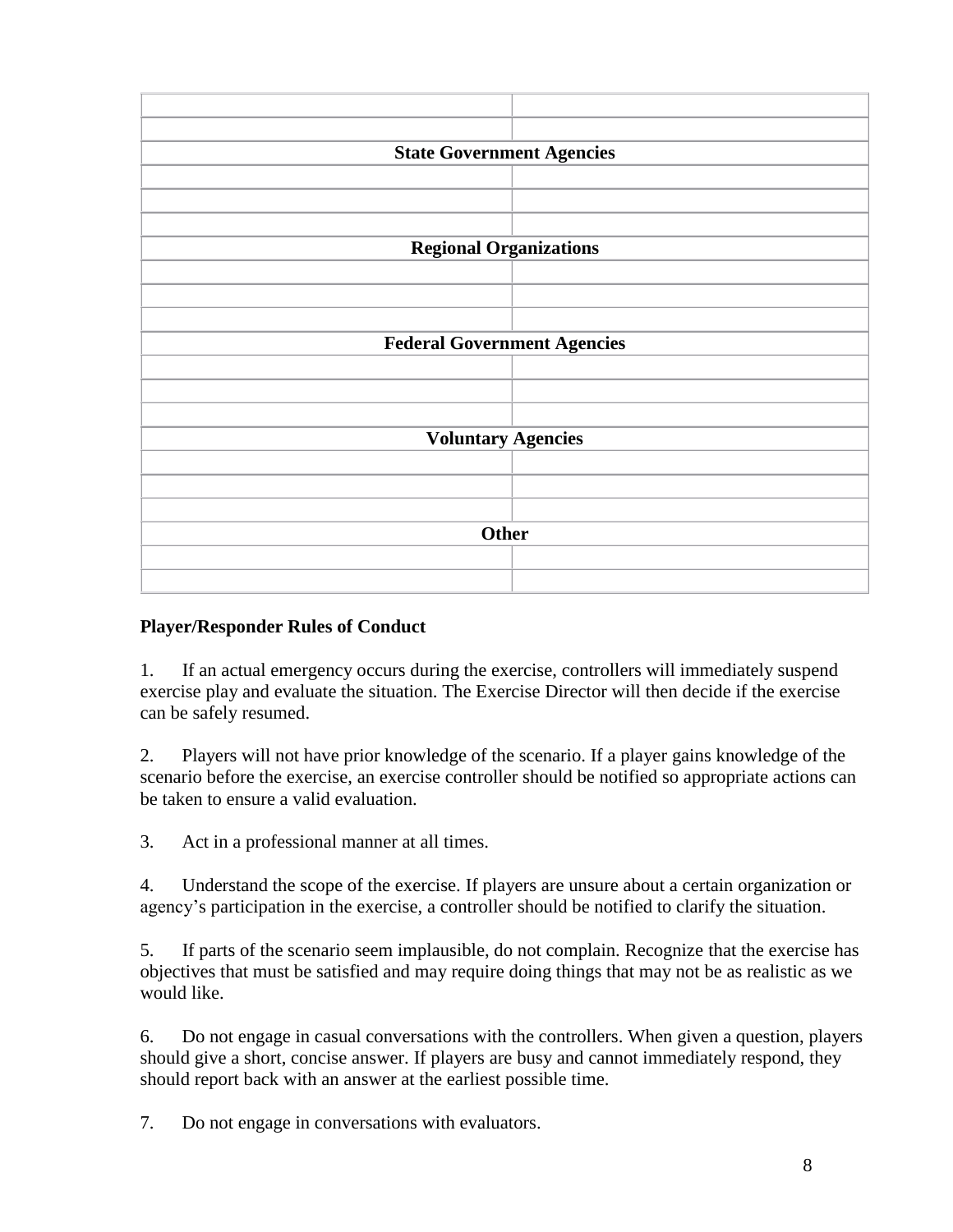

# **Player/Responder Rules of Conduct**

1. If an actual emergency occurs during the exercise, controllers will immediately suspend exercise play and evaluate the situation. The Exercise Director will then decide if the exercise can be safely resumed.

2. Players will not have prior knowledge of the scenario. If a player gains knowledge of the scenario before the exercise, an exercise controller should be notified so appropriate actions can be taken to ensure a valid evaluation.

3. Act in a professional manner at all times.

4. Understand the scope of the exercise. If players are unsure about a certain organization or agency's participation in the exercise, a controller should be notified to clarify the situation.

5. If parts of the scenario seem implausible, do not complain. Recognize that the exercise has objectives that must be satisfied and may require doing things that may not be as realistic as we would like.

6. Do not engage in casual conversations with the controllers. When given a question, players should give a short, concise answer. If players are busy and cannot immediately respond, they should report back with an answer at the earliest possible time.

7. Do not engage in conversations with evaluators.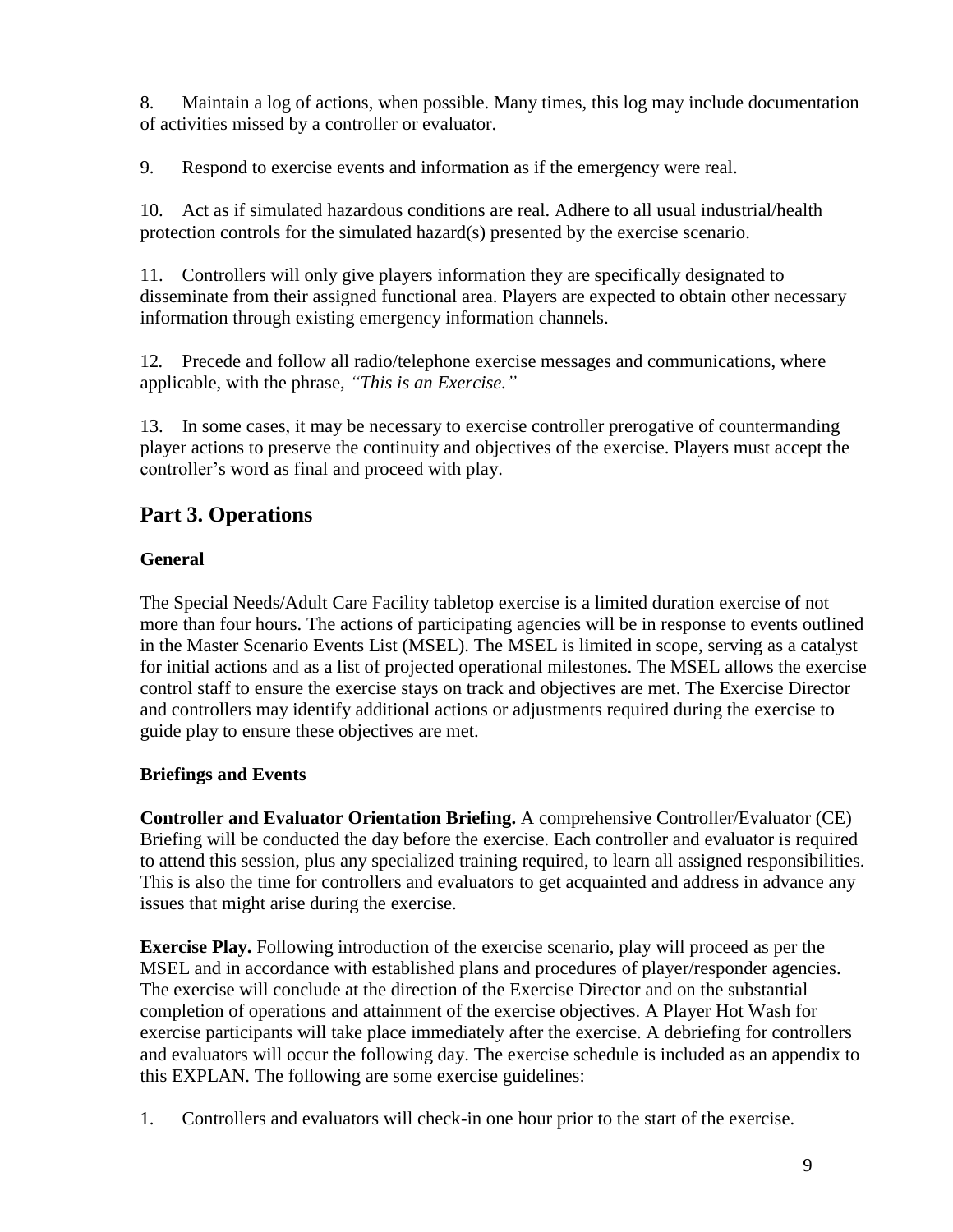8. Maintain a log of actions, when possible. Many times, this log may include documentation of activities missed by a controller or evaluator.

9. Respond to exercise events and information as if the emergency were real.

10. Act as if simulated hazardous conditions are real. Adhere to all usual industrial/health protection controls for the simulated hazard(s) presented by the exercise scenario.

11. Controllers will only give players information they are specifically designated to disseminate from their assigned functional area. Players are expected to obtain other necessary information through existing emergency information channels.

12*.* Precede and follow all radio/telephone exercise messages and communications, where applicable, with the phrase, *"This is an Exercise."*

13. In some cases, it may be necessary to exercise controller prerogative of countermanding player actions to preserve the continuity and objectives of the exercise. Players must accept the controller's word as final and proceed with play.

# **Part 3. Operations**

## **General**

The Special Needs/Adult Care Facility tabletop exercise is a limited duration exercise of not more than four hours. The actions of participating agencies will be in response to events outlined in the Master Scenario Events List (MSEL). The MSEL is limited in scope, serving as a catalyst for initial actions and as a list of projected operational milestones. The MSEL allows the exercise control staff to ensure the exercise stays on track and objectives are met. The Exercise Director and controllers may identify additional actions or adjustments required during the exercise to guide play to ensure these objectives are met.

# **Briefings and Events**

**Controller and Evaluator Orientation Briefing.** A comprehensive Controller/Evaluator (CE) Briefing will be conducted the day before the exercise. Each controller and evaluator is required to attend this session, plus any specialized training required, to learn all assigned responsibilities. This is also the time for controllers and evaluators to get acquainted and address in advance any issues that might arise during the exercise.

**Exercise Play.** Following introduction of the exercise scenario, play will proceed as per the MSEL and in accordance with established plans and procedures of player/responder agencies. The exercise will conclude at the direction of the Exercise Director and on the substantial completion of operations and attainment of the exercise objectives. A Player Hot Wash for exercise participants will take place immediately after the exercise. A debriefing for controllers and evaluators will occur the following day. The exercise schedule is included as an appendix to this EXPLAN. The following are some exercise guidelines:

1. Controllers and evaluators will check-in one hour prior to the start of the exercise.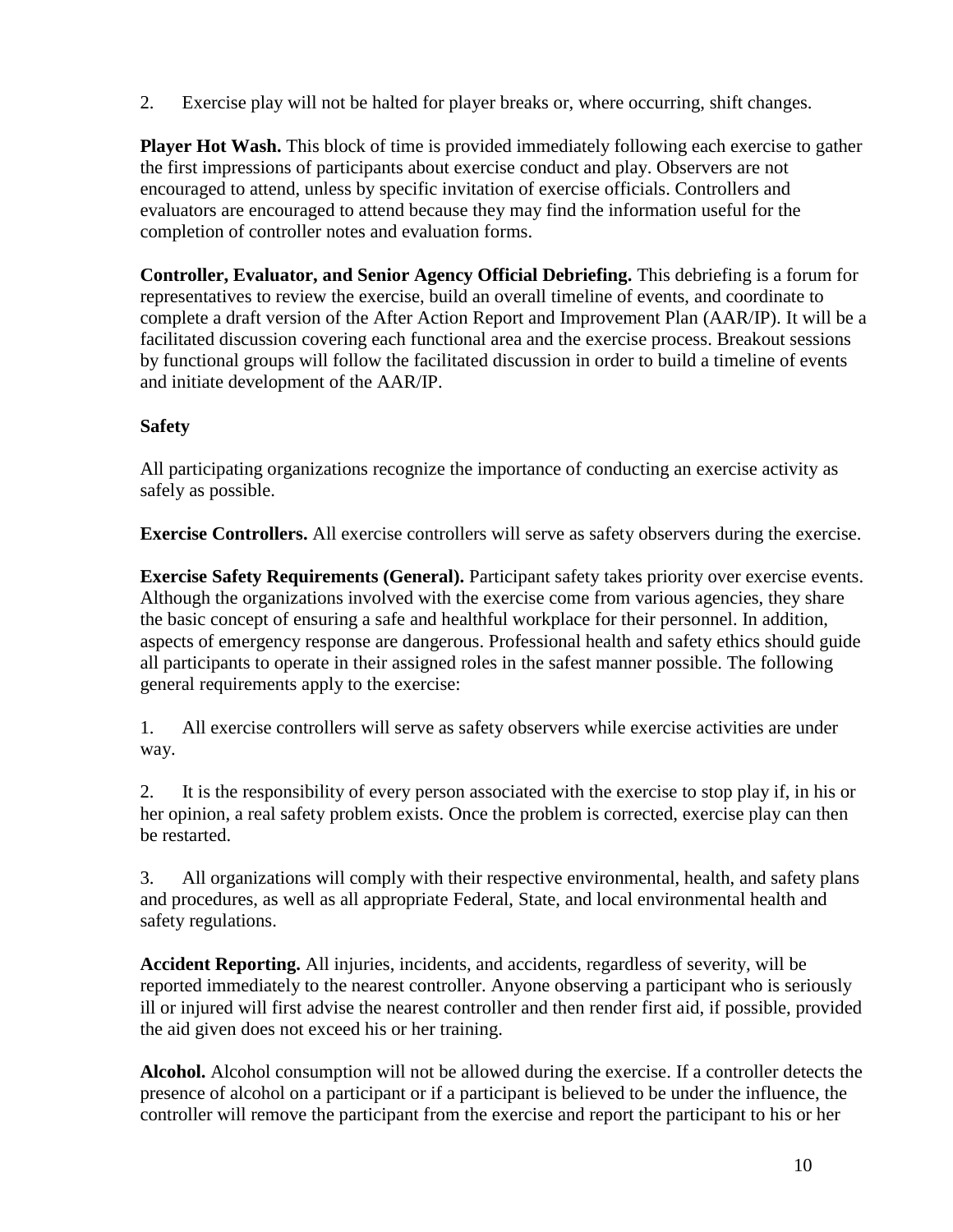2. Exercise play will not be halted for player breaks or, where occurring, shift changes.

**Player Hot Wash.** This block of time is provided immediately following each exercise to gather the first impressions of participants about exercise conduct and play. Observers are not encouraged to attend, unless by specific invitation of exercise officials. Controllers and evaluators are encouraged to attend because they may find the information useful for the completion of controller notes and evaluation forms.

**Controller, Evaluator, and Senior Agency Official Debriefing.** This debriefing is a forum for representatives to review the exercise, build an overall timeline of events, and coordinate to complete a draft version of the After Action Report and Improvement Plan (AAR/IP). It will be a facilitated discussion covering each functional area and the exercise process. Breakout sessions by functional groups will follow the facilitated discussion in order to build a timeline of events and initiate development of the AAR/IP.

# **Safety**

All participating organizations recognize the importance of conducting an exercise activity as safely as possible.

**Exercise Controllers.** All exercise controllers will serve as safety observers during the exercise.

**Exercise Safety Requirements (General).** Participant safety takes priority over exercise events. Although the organizations involved with the exercise come from various agencies, they share the basic concept of ensuring a safe and healthful workplace for their personnel. In addition, aspects of emergency response are dangerous. Professional health and safety ethics should guide all participants to operate in their assigned roles in the safest manner possible. The following general requirements apply to the exercise:

1. All exercise controllers will serve as safety observers while exercise activities are under way.

2. It is the responsibility of every person associated with the exercise to stop play if, in his or her opinion, a real safety problem exists. Once the problem is corrected, exercise play can then be restarted.

3. All organizations will comply with their respective environmental, health, and safety plans and procedures, as well as all appropriate Federal, State, and local environmental health and safety regulations.

**Accident Reporting.** All injuries, incidents, and accidents, regardless of severity, will be reported immediately to the nearest controller. Anyone observing a participant who is seriously ill or injured will first advise the nearest controller and then render first aid, if possible, provided the aid given does not exceed his or her training.

**Alcohol.** Alcohol consumption will not be allowed during the exercise. If a controller detects the presence of alcohol on a participant or if a participant is believed to be under the influence, the controller will remove the participant from the exercise and report the participant to his or her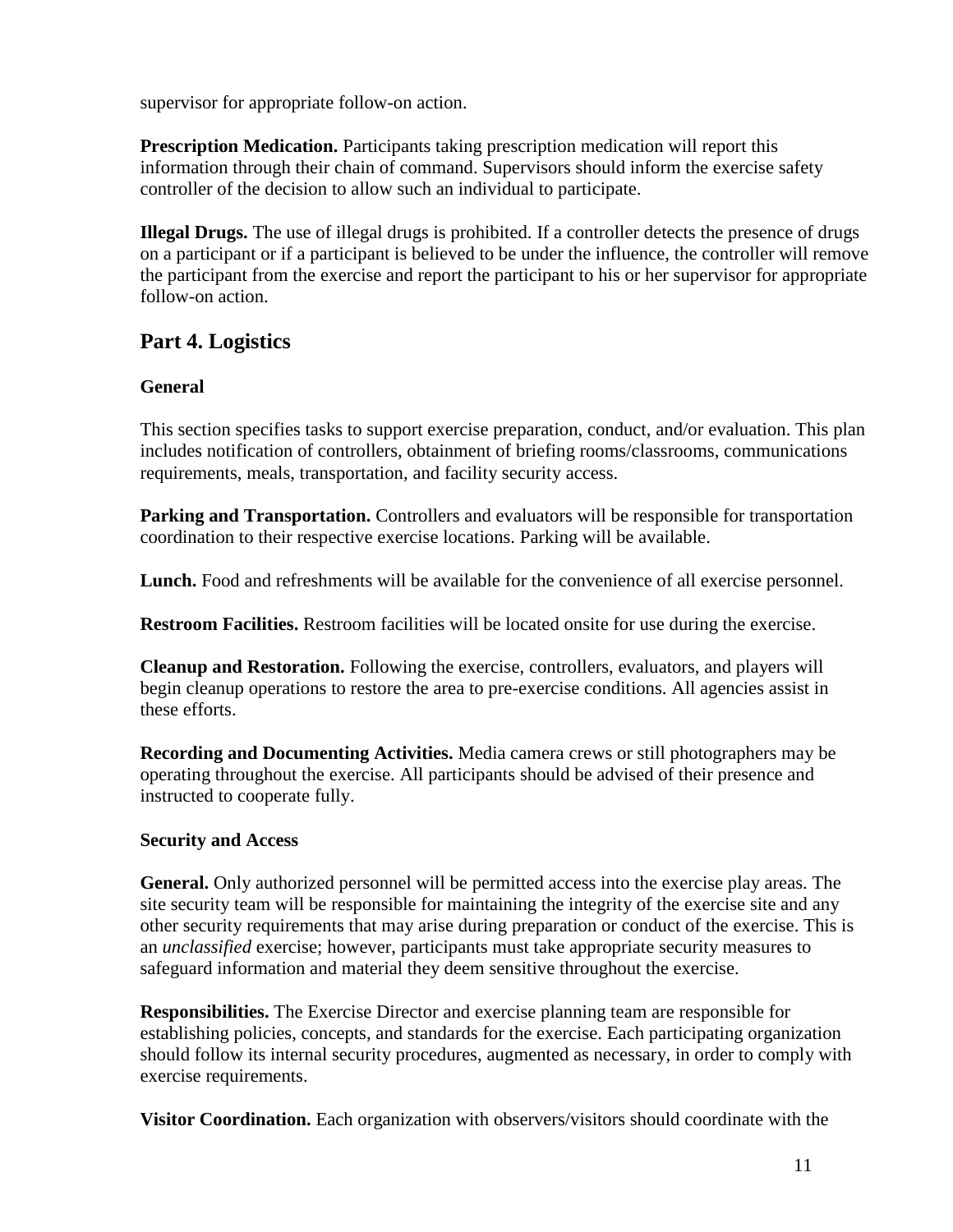supervisor for appropriate follow-on action.

**Prescription Medication.** Participants taking prescription medication will report this information through their chain of command. Supervisors should inform the exercise safety controller of the decision to allow such an individual to participate.

**Illegal Drugs.** The use of illegal drugs is prohibited. If a controller detects the presence of drugs on a participant or if a participant is believed to be under the influence, the controller will remove the participant from the exercise and report the participant to his or her supervisor for appropriate follow-on action.

# **Part 4. Logistics**

### **General**

This section specifies tasks to support exercise preparation, conduct, and/or evaluation. This plan includes notification of controllers, obtainment of briefing rooms/classrooms, communications requirements, meals, transportation, and facility security access.

**Parking and Transportation.** Controllers and evaluators will be responsible for transportation coordination to their respective exercise locations. Parking will be available.

Lunch. Food and refreshments will be available for the convenience of all exercise personnel.

**Restroom Facilities.** Restroom facilities will be located onsite for use during the exercise.

**Cleanup and Restoration.** Following the exercise, controllers, evaluators, and players will begin cleanup operations to restore the area to pre-exercise conditions. All agencies assist in these efforts.

**Recording and Documenting Activities.** Media camera crews or still photographers may be operating throughout the exercise. All participants should be advised of their presence and instructed to cooperate fully.

### **Security and Access**

**General.** Only authorized personnel will be permitted access into the exercise play areas. The site security team will be responsible for maintaining the integrity of the exercise site and any other security requirements that may arise during preparation or conduct of the exercise. This is an *unclassified* exercise; however, participants must take appropriate security measures to safeguard information and material they deem sensitive throughout the exercise.

**Responsibilities.** The Exercise Director and exercise planning team are responsible for establishing policies, concepts, and standards for the exercise. Each participating organization should follow its internal security procedures, augmented as necessary, in order to comply with exercise requirements.

**Visitor Coordination.** Each organization with observers/visitors should coordinate with the